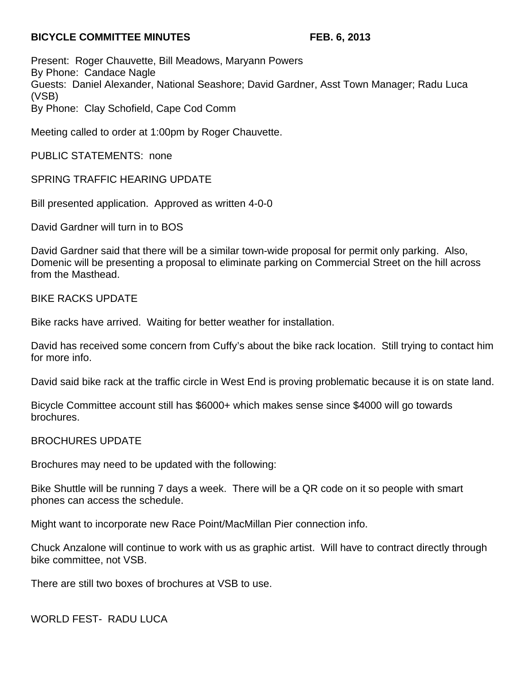## **BICYCLE COMMITTEE MINUTES FEB. 6, 2013**

Present: Roger Chauvette, Bill Meadows, Maryann Powers By Phone: Candace Nagle Guests: Daniel Alexander, National Seashore; David Gardner, Asst Town Manager; Radu Luca (VSB) By Phone: Clay Schofield, Cape Cod Comm

Meeting called to order at 1:00pm by Roger Chauvette.

PUBLIC STATEMENTS: none

SPRING TRAFFIC HEARING UPDATE

Bill presented application. Approved as written 4-0-0

David Gardner will turn in to BOS

David Gardner said that there will be a similar town-wide proposal for permit only parking. Also, Domenic will be presenting a proposal to eliminate parking on Commercial Street on the hill across from the Masthead.

BIKE RACKS UPDATE

Bike racks have arrived. Waiting for better weather for installation.

David has received some concern from Cuffy's about the bike rack location. Still trying to contact him for more info.

David said bike rack at the traffic circle in West End is proving problematic because it is on state land.

Bicycle Committee account still has \$6000+ which makes sense since \$4000 will go towards brochures.

## BROCHURES UPDATE

Brochures may need to be updated with the following:

Bike Shuttle will be running 7 days a week. There will be a QR code on it so people with smart phones can access the schedule.

Might want to incorporate new Race Point/MacMillan Pier connection info.

Chuck Anzalone will continue to work with us as graphic artist. Will have to contract directly through bike committee, not VSB.

There are still two boxes of brochures at VSB to use.

WORLD FEST- RADU LUCA